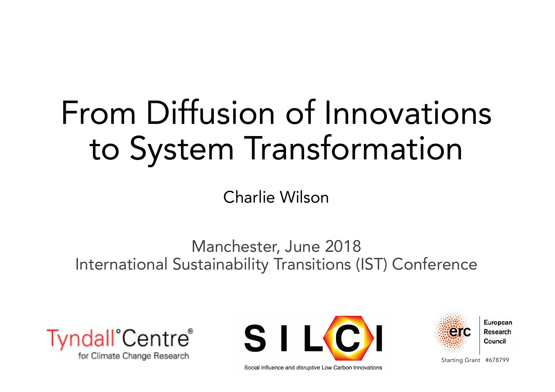# From Diffusion of Innovations to System Transformation

Charlie Wilson

#### Manchester, June 2018 International Sustainability Transitions (IST) Conference







Starting Grant #678799

Social Influence and *disruptive* Low Carbon Innovations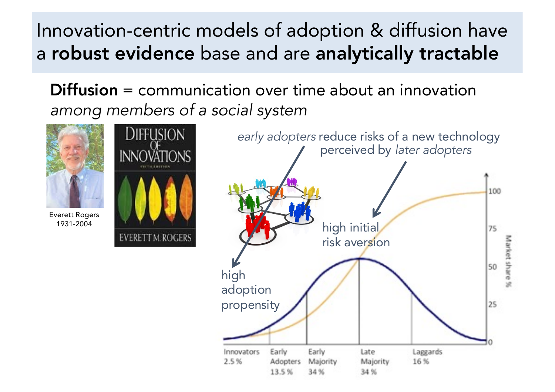Innovation-centric models of adoption & diffusion have a robust evidence base and are analytically tractable

Diffusion = communication over time about an innovation *among members of a social system*



**DIFFUSION** 

**INNOVÄTIONS** 

**EVERETT M.ROGERS** 

Everett Rogers 1931-2004

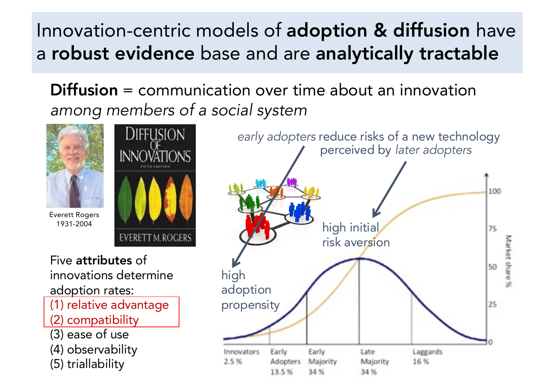Innovation-centric models of adoption & diffusion have a robust evidence base and are analytically tractable

Diffusion = communication over time about an innovation *among members of a social system*



Everett Rogers 1931-2004



Five attributes of innovations determine adoption rates: (1) relative advantage

- (2) compatibility
- (3) ease of use
- (4) observability
- (5) triallability

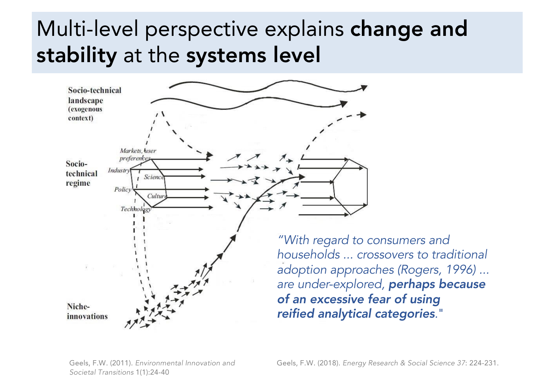### Multi-level perspective explains change and stability at the systems level

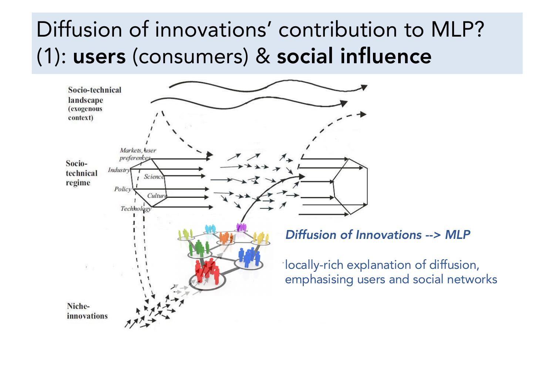### Diffusion of innovations' contribution to MLP? (1): users (consumers) & social influence

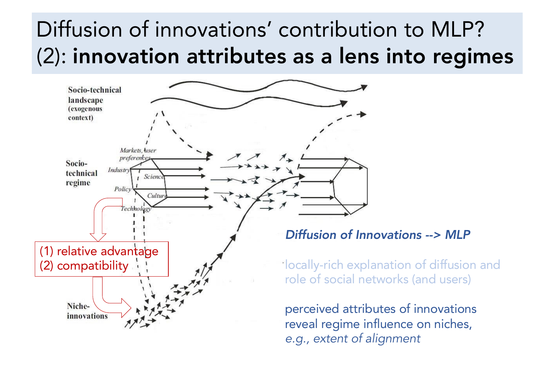### Diffusion of innovations' contribution to MLP? (2): innovation attributes as a lens into regimes



reveal regime influence on niches, *e.g., extent of alignment*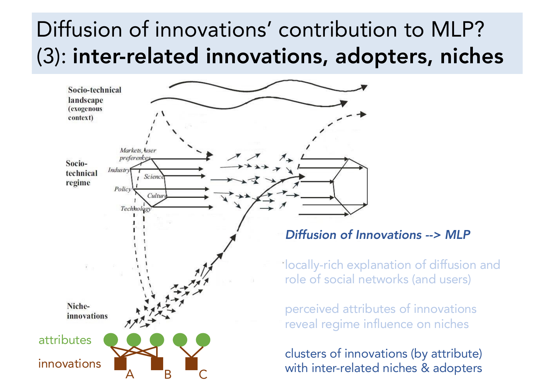### Diffusion of innovations' contribution to MLP? (3): inter-related innovations, adopters, niches

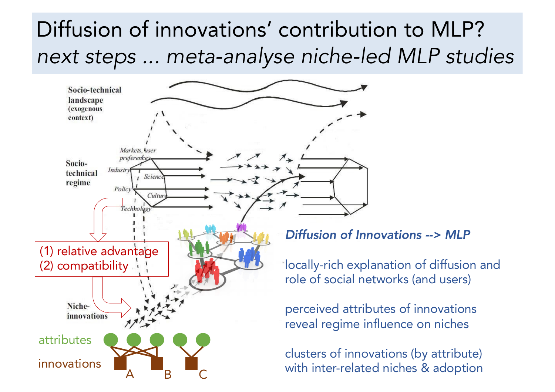### Diffusion of innovations' contribution to MLP? *next steps ... meta-analyse niche-led MLP studies*

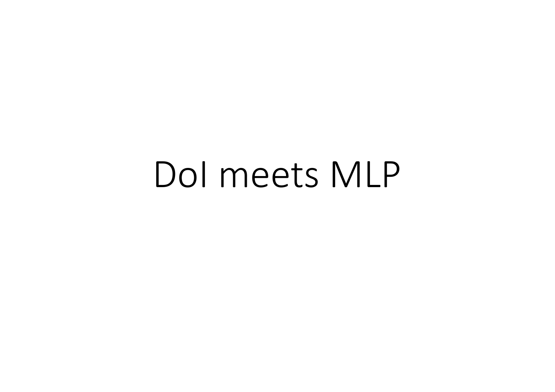## DoI meets MLP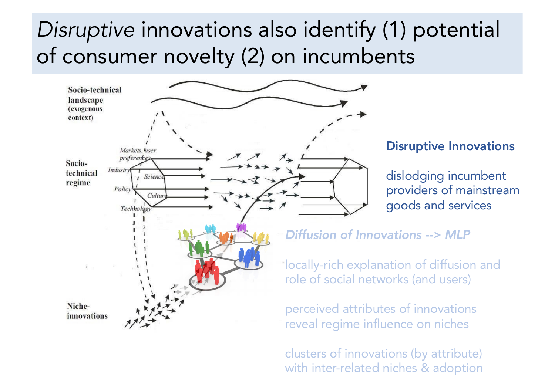#### *Disruptive* innovations also identify (1) potential of consumer novelty (2) on incumbents



clusters of innovations (by attribute) with inter-related niches & adoption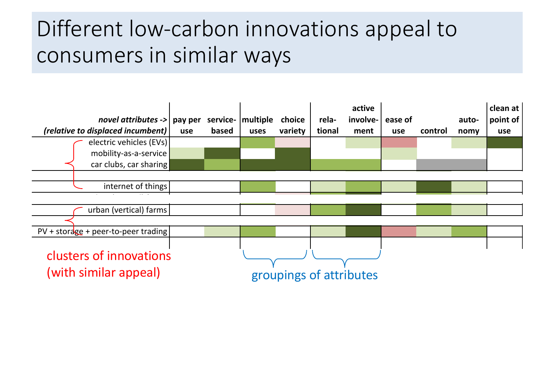### Different low-carbon innovations appeal to consumers in similar ways

| novel attributes $\rightarrow$   pay per<br>(relative to displaced incumbent)<br>electric vehicles (EVs) |                                                 | use | based | service-   multiple<br>uses | choice<br>variety | rela-<br>tional | active<br>involve-<br>ment | ease of<br>use | control | auto-<br>nomy | clean at<br>point of<br>use |
|----------------------------------------------------------------------------------------------------------|-------------------------------------------------|-----|-------|-----------------------------|-------------------|-----------------|----------------------------|----------------|---------|---------------|-----------------------------|
|                                                                                                          | mobility-as-a-service<br>car clubs, car sharing |     |       |                             |                   |                 |                            |                |         |               |                             |
|                                                                                                          | internet of things                              |     |       |                             |                   |                 |                            |                |         |               |                             |
|                                                                                                          | urban (vertical) farms                          |     |       |                             |                   |                 |                            |                |         |               |                             |
| $PV + storage + peer-to-peer trading$                                                                    |                                                 |     |       |                             |                   |                 |                            |                |         |               |                             |
| clusters of innovations<br>(with similar appeal)                                                         |                                                 |     |       | groupings of attributes     |                   |                 |                            |                |         |               |                             |